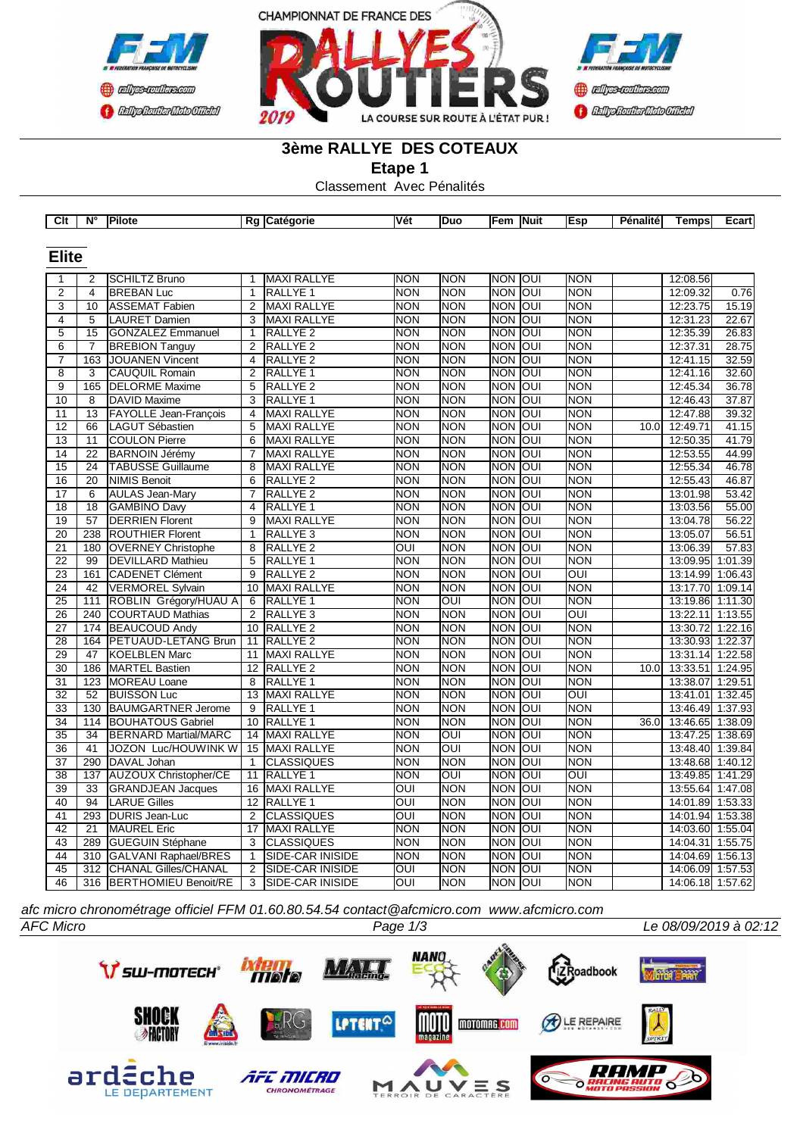



## **3ème RALLYE DES COTEAUX**

**Etape 1**

Classement Avec Pénalités

|                 |                 | $Clt \mid N^{\circ}$   Pilote |                 | Rg Catégorie            | Vét                     | Duo                     | Fem  Nuit  |      | <b>Esp</b>              | <b>Pénalité</b>   | <b>Temps</b>     | Ecart   |
|-----------------|-----------------|-------------------------------|-----------------|-------------------------|-------------------------|-------------------------|------------|------|-------------------------|-------------------|------------------|---------|
|                 |                 |                               |                 |                         |                         |                         |            |      |                         |                   |                  |         |
|                 |                 |                               |                 |                         |                         |                         |            |      |                         |                   |                  |         |
| <b>Elite</b>    |                 |                               |                 |                         |                         |                         |            |      |                         |                   |                  |         |
| 1               | $\overline{2}$  | <b>SCHILTZ Bruno</b>          | 1               | <b>MAXI RALLYE</b>      | <b>NON</b>              | <b>NON</b>              | <b>NON</b> | loui | <b>NON</b>              |                   | 12:08.56         |         |
| $\mathbf 2$     | $\overline{4}$  | <b>BREBAN Luc</b>             | $\overline{1}$  | <b>RALLYE 1</b>         | <b>NON</b>              | <b>NON</b>              | <b>NON</b> | loui | <b>NON</b>              |                   | 12:09.32         | 0.76    |
| $\overline{3}$  | 10              | <b>ASSEMAT Fabien</b>         | $\overline{2}$  | <b>MAXI RALLYE</b>      | <b>NON</b>              | <b>NON</b>              | <b>NON</b> | loui | <b>NON</b>              |                   | 12:23.75         | 15.19   |
| 4               | 5               | <b>LAURET Damien</b>          | 3               | <b>MAXI RALLYE</b>      | <b>NON</b>              | <b>NON</b>              | <b>NON</b> | loui | <b>NON</b>              |                   | 12:31.23         | 22.67   |
| 5               | 15              | <b>GONZALEZ Emmanuel</b>      | $\mathbf{1}$    | RALLYE <sub>2</sub>     | <b>NON</b>              | <b>NON</b>              | <b>NON</b> | loui | <b>NON</b>              |                   | 12:35.39         | 26.83   |
| 6               | $\overline{7}$  | <b>BREBION Tanguy</b>         | 2               | RALLYE <sub>2</sub>     | <b>NON</b>              | <b>NON</b>              | <b>NON</b> | loui | <b>NON</b>              |                   | 12:37.31         | 28.75   |
| $\overline{7}$  | 163             | <b>JOUANEN Vincent</b>        | 4               | <b>RALLYE 2</b>         | <b>NON</b>              | <b>NON</b>              | <b>NON</b> | loui | <b>NON</b>              |                   | 12:41.15         | 32.59   |
| $\overline{8}$  | $\overline{3}$  | <b>CAUQUIL Romain</b>         | $\overline{2}$  | RALLYE <sub>1</sub>     | <b>NON</b>              | <b>NON</b>              | <b>NON</b> | loui | <b>NON</b>              |                   | 12:41.16         | 32.60   |
| $\overline{9}$  | 165             | <b>DELORME</b> Maxime         | 5               | <b>RALLYE 2</b>         | <b>NON</b>              | <b>NON</b>              | <b>NON</b> | loui | <b>NON</b>              |                   | 12:45.34         | 36.78   |
| 10              | 8               | <b>DAVID Maxime</b>           | 3               | RALLYE <sub>1</sub>     | <b>NON</b>              | <b>NON</b>              | <b>NON</b> | loui | <b>NON</b>              |                   | 12:46.43         | 37.87   |
| $\overline{11}$ | $\overline{13}$ | <b>FAYOLLE Jean-Francois</b>  | 4               | <b>MAXI RALLYE</b>      | <b>NON</b>              | <b>NON</b>              | <b>NON</b> | loui | <b>NON</b>              |                   | 12:47.88         | 39.32   |
| 12              | 66              | LAGUT Sébastien               | 5               | <b>MAXI RALLYE</b>      | <b>NON</b>              | <b>NON</b>              | <b>NON</b> | loui | <b>NON</b>              | 10.0 <sub>l</sub> | 12:49.71         | 41.15   |
| 13              | 11              | <b>COULON Pierre</b>          | 6               | <b>MAXI RALLYE</b>      | <b>NON</b>              | <b>NON</b>              | <b>NON</b> | loui | <b>NON</b>              |                   | 12:50.35         | 41.79   |
| 14              | 22              | <b>BARNOIN Jérémy</b>         | $\overline{7}$  | <b>MAXI RALLYE</b>      | <b>NON</b>              | <b>NON</b>              | <b>NON</b> | loui | <b>NON</b>              |                   | 12:53.55         | 44.99   |
| 15              | 24              | <b>TABUSSE Guillaume</b>      | 8               | <b>MAXI RALLYE</b>      | <b>NON</b>              | <b>NON</b>              | <b>NON</b> | loui | <b>NON</b>              |                   | 12:55.34         | 46.78   |
| 16              | 20              | NIMIS Benoit                  | 6               | RALLYE <sub>2</sub>     | <b>NON</b>              | <b>NON</b>              | <b>NON</b> | loui | <b>NON</b>              |                   | 12:55.43         | 46.87   |
| 17              | 6               | <b>AULAS Jean-Mary</b>        | $\overline{7}$  | <b>RALLYE 2</b>         | <b>NON</b>              | <b>NON</b>              | <b>NON</b> | loui | <b>NON</b>              |                   | 13:01.98         | 53.42   |
| $\overline{18}$ | $\overline{18}$ | <b>GAMBINO Davy</b>           | $\overline{4}$  | <b>RALLYE 1</b>         | <b>NON</b>              | <b>NON</b>              | <b>NON</b> | loui | <b>NON</b>              |                   | 13:03.56         | 55.00   |
| 19              | 57              | <b>DERRIEN Florent</b>        | 9               | <b>MAXI RALLYE</b>      | <b>NON</b>              | <b>NON</b>              | <b>NON</b> | loui | <b>NON</b>              |                   | 13:04.78         | 56.22   |
| 20              | 238             | <b>ROUTHIER Florent</b>       | $\mathbf{1}$    | RALLYE <sub>3</sub>     | <b>NON</b>              | <b>NON</b>              | <b>NON</b> | loui | <b>NON</b>              |                   | 13:05.07         | 56.51   |
| 21              | 180             | <b>OVERNEY Christophe</b>     | 8               | RALLYE <sub>2</sub>     | OUI                     | <b>NON</b>              | <b>NON</b> | loui | <b>NON</b>              |                   | 13:06.39         | 57.83   |
| $\overline{22}$ | 99              | <b>DEVILLARD Mathieu</b>      | 5               | RALLYE 1                | <b>NON</b>              | <b>NON</b>              | <b>NON</b> | loui | <b>NON</b>              |                   | 13:09.95         | 1:01.39 |
| 23              | 161             | CADENET Clément               | 9               | <b>RALLYE 2</b>         | <b>NON</b>              | <b>NON</b>              | <b>NON</b> | JO   | $\overline{\text{OUI}}$ |                   | 13:14.99         | 1:06.43 |
| 24              | 42              | <b>VERMOREL Sylvain</b>       | 10              | MAXI RALLYE             | <b>NON</b>              | <b>NON</b>              | <b>NON</b> | loui | <b>NON</b>              |                   | 13:17.70         | 1:09.14 |
| $\overline{25}$ | 111             | ROBLIN Grégory/HUAU A         | 6               | <b>RALLYE 1</b>         | <b>NON</b>              | ОUІ                     | <b>NON</b> | loui | <b>NON</b>              |                   | 13:19.86         | 1:11.30 |
| 26              | 240             | COURTAUD Mathias              | $\overline{2}$  | RALLYE <sub>3</sub>     | <b>NON</b>              | <b>NON</b>              | <b>NON</b> | loui | OUI                     |                   | 13:22.11 1:13.55 |         |
| $\overline{27}$ | 174             | <b>BEAUCOUD Andy</b>          | 10              | <b>RALLYE 2</b>         | <b>NON</b>              | <b>NON</b>              | <b>NON</b> | loui | <b>NON</b>              |                   | 13:30.72         | 1:22.16 |
| 28              | 164             | <b>PETUAUD-LETANG Brun</b>    | 11              | <b>RALLYE 2</b>         | <b>NON</b>              | <b>NON</b>              | <b>NON</b> | lon  | <b>NON</b>              |                   | 13:30.93         | 1:22.37 |
| 29              | 47              | <b>KOELBLEN Marc</b>          | 11              | <b>MAXI RALLYE</b>      | <b>NON</b>              | <b>NON</b>              | <b>NON</b> | loui | <b>NON</b>              |                   | 13:31.14 1:22.58 |         |
| 30              | 186             | MARTEL Bastien                | 12 <sup>°</sup> | RALLYE <sub>2</sub>     | <b>NON</b>              | <b>NON</b>              | <b>NON</b> | loui | <b>NON</b>              | 10.0 <sub>l</sub> | 13:33.51         | 1:24.95 |
| $\overline{31}$ | 123             | MOREAU Loane                  | 8               | RALLYE <sub>1</sub>     | <b>NON</b>              | <b>NON</b>              | <b>NON</b> | loui | <b>NON</b>              |                   | 13:38.07         | 1:29.51 |
| $\overline{32}$ | $\overline{52}$ | <b>BUISSON Luc</b>            | 13              | <b>MAXI RALLYE</b>      | <b>NON</b>              | <b>NON</b>              | <b>NON</b> | loui | $\overline{OUI}$        |                   | 13:41.01         | 1:32.45 |
| 33              | 130             | <b>BAUMGARTNER Jerome</b>     | 9               | RALLYE <sub>1</sub>     | <b>NON</b>              | <b>NON</b>              | <b>NON</b> | loui | <b>NON</b>              |                   | 13:46.49         | 1:37.93 |
| 34              | 114             | <b>BOUHATOUS Gabriel</b>      | 10              | RALLYE <sub>1</sub>     | <b>NON</b>              | <b>NON</b>              | <b>NON</b> | loui | <b>NON</b>              | 36.0              | 13:46.65         | 1:38.09 |
| 35              | 34              | <b>BERNARD Martial/MARC</b>   | 14              | <b>MAXI RALLYE</b>      | <b>NON</b>              | OUI                     | <b>NON</b> | loui | <b>NON</b>              |                   | 13:47.25         | 1:38.69 |
| 36              | 41              | JOZON Luc/HOUWINK W           | 15              | <b>MAXI RALLYE</b>      | <b>NON</b>              | OUI                     | <b>NON</b> | loui | <b>NON</b>              |                   | 13:48.40         | 1:39.84 |
| $\overline{37}$ | 290             | DAVAL Johan                   | $\overline{1}$  | <b>CLASSIQUES</b>       | <b>NON</b>              | <b>NON</b>              | <b>NON</b> | loui | <b>NON</b>              |                   | 13:48.68         | 1:40.12 |
| 38              | 137             | <b>AUZOUX Christopher/CE</b>  | 11              | RALLYE 1                | <b>NON</b>              | $\overline{\text{OUI}}$ | <b>NON</b> | loui | $\overline{O}$          |                   | 13:49.85         | 1:41.29 |
| 39              | 33              | <b>GRANDJEAN Jacques</b>      | 16              | <b>MAXI RALLYE</b>      | $\overline{\text{OUI}}$ | <b>NON</b>              | <b>NON</b> | loui | <b>NON</b>              |                   | 13:55.64         | 1:47.08 |
| 40              | 94              | <b>LARUE Gilles</b>           | 12              | RALLYE 1                | $\overline{\text{OUI}}$ | <b>NON</b>              | <b>NON</b> | loui | <b>NON</b>              |                   | 14:01.89         | 1:53.33 |
| 41              | 293             | DURIS Jean-Luc                | 2               | <b>CLASSIQUES</b>       | OUI                     | <b>NON</b>              | <b>NON</b> | loui | <b>NON</b>              |                   | 14:01.94         | 1:53.38 |
| $\overline{42}$ | 21              | <b>MAUREL Eric</b>            | 17              | <b>MAXI RALLYE</b>      | <b>NON</b>              | <b>NON</b>              | <b>NON</b> | loui | <b>NON</b>              |                   | 14:03.60         | 1:55.04 |
| 43              | 289             | <b>GUEGUIN Stéphane</b>       | 3               | <b>CLASSIQUES</b>       | <b>NON</b>              | <b>NON</b>              | <b>NON</b> | loui | <b>NON</b>              |                   | 14:04.31         | 1:55.75 |
| 44              |                 | 310 GALVANI Raphael/BRES      | $\mathbf{1}$    | SIDE-CAR INISIDE        | <b>NON</b>              | <b>NON</b>              | <b>NON</b> | loui | <b>NON</b>              |                   | 14:04.69         | 1:56.13 |
| 45              | 312             | <b>CHANAL Gilles/CHANAL</b>   | $\overline{2}$  | <b>SIDE-CAR INISIDE</b> | $\overline{\text{C}}$   | <b>NON</b>              | <b>NON</b> | loui | <b>NON</b>              |                   | 14:06.09 1:57.53 |         |
| 46              |                 | 316 BERTHOMIEU Benoit/RE      | 3               | <b>SIDE-CAR INISIDE</b> | OUI                     | <b>NON</b>              | NON OUI    |      | <b>NON</b>              |                   | 14:06.18 1:57.62 |         |

*afc micro chronométrage officiel FFM 01.60.80.54.54 contact@afcmicro.com www.afcmicro.com*



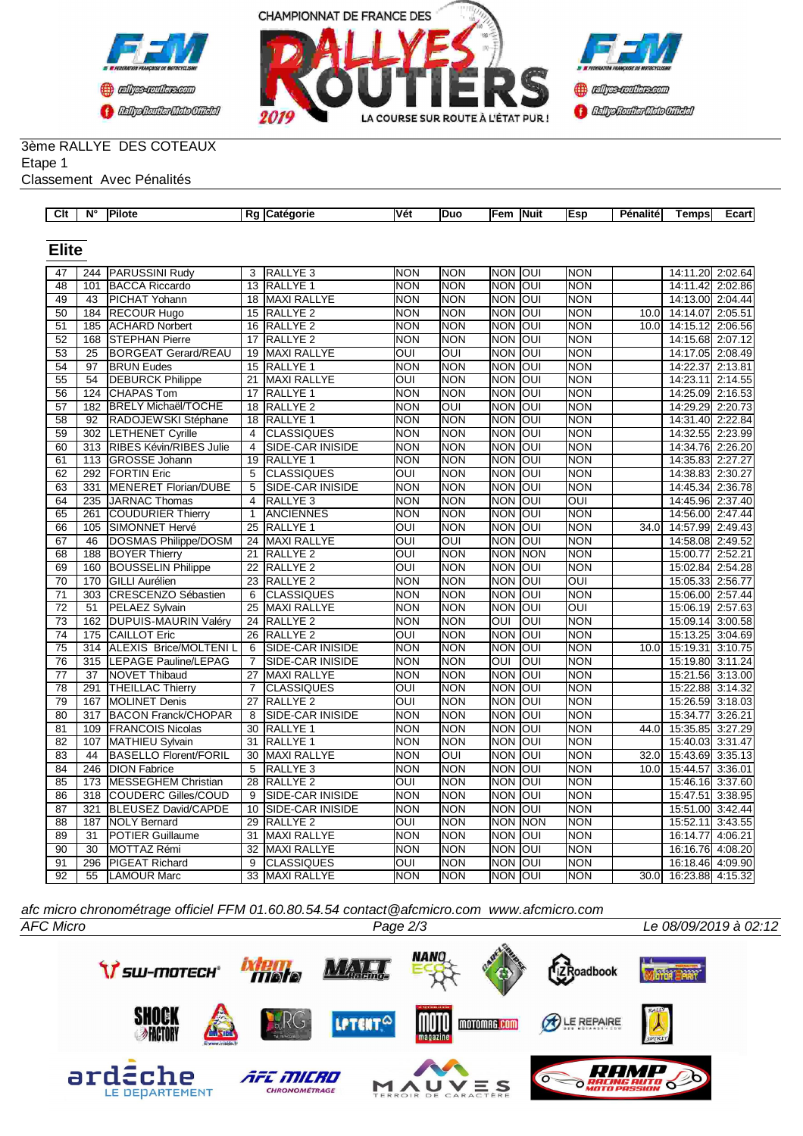



#### 3ème RALLYE DES COTEAUX Etape 1

Classement Avec Pénalités

| Clt             | N°               | Pilote                       |                 | Rg Catégorie            | Vét                     | Duo        | Fem   Nuit       |                         | Esp            | Pénalité | Temps                 | Ecart   |
|-----------------|------------------|------------------------------|-----------------|-------------------------|-------------------------|------------|------------------|-------------------------|----------------|----------|-----------------------|---------|
|                 |                  |                              |                 |                         |                         |            |                  |                         |                |          |                       |         |
|                 |                  |                              |                 |                         |                         |            |                  |                         |                |          |                       |         |
| <b>Elite</b>    |                  |                              |                 |                         |                         |            |                  |                         |                |          |                       |         |
| 47              | 244              | <b>PARUSSINI Rudy</b>        | 3               | RALLYE <sub>3</sub>     | <b>NON</b>              | <b>NON</b> | <b>NON</b>       | loui                    | <b>NON</b>     |          | 14:11.20              | 2:02.64 |
| 48              | 101              | <b>BACCA Riccardo</b>        | 13              | RALLYE <sub>1</sub>     | <b>NON</b>              | <b>NON</b> | NON OUI          |                         | <b>NON</b>     |          | 14:11.42              | 2:02.86 |
| 49              | 43               | <b>PICHAT Yohann</b>         | $\overline{18}$ | MAXI RALLYE             | <b>NON</b>              | <b>NON</b> | NON OUI          |                         | <b>NON</b>     |          | 14:13.00 2:04.44      |         |
| $\overline{50}$ | 184              | <b>RECOUR Hugo</b>           | 15              | <b>RALLYE 2</b>         | <b>NON</b>              | <b>NON</b> | <b>NON OUI</b>   |                         | <b>NON</b>     | 10.0     | 14:14.07 2:05.51      |         |
| 51              | 185              | <b>ACHARD Norbert</b>        | 16              | RALLYE <sub>2</sub>     | <b>NON</b>              | <b>NON</b> | <b>NON</b>       | loui                    | <b>NON</b>     | 10.0     | 14:15.12 2:06.56      |         |
| $\overline{52}$ | 168              | <b>STEPHAN Pierre</b>        | $\overline{17}$ | <b>RALLYE 2</b>         | <b>NON</b>              | <b>NON</b> | <b>NON JOUI</b>  |                         | <b>NON</b>     |          | 14:15.68 2:07.12      |         |
| $\overline{53}$ | $\overline{25}$  | <b>BORGEAT Gerard/REAU</b>   | 19              | <b>MAXI RALLYE</b>      | OUI                     | OUI        | <b>NON OUI</b>   |                         | <b>NON</b>     |          | 14:17.05 2:08.49      |         |
| 54              | 97               | <b>BRUN Eudes</b>            | 15              | RALLYE <sub>1</sub>     | <b>NON</b>              | <b>NON</b> | NON OUI          |                         | <b>NON</b>     |          | 14:22.37 2:13.81      |         |
| 55              | 54               | <b>DEBURCK Philippe</b>      | 21              | MAXI RALLYE             | <b>OUI</b>              | <b>NON</b> | <b>NON</b>       | loui                    | <b>NON</b>     |          | 14:23.11 2:14.55      |         |
| 56              | 124              | <b>CHAPAS Tom</b>            | 17              | <b>RALLYE 1</b>         | <b>NON</b>              | <b>NON</b> | <b>NON OUI</b>   |                         | <b>NON</b>     |          | 14:25.09 2:16.53      |         |
| 57              | 182              | <b>BRELY Michaël/TOCHE</b>   | 18              | RALLYE <sub>2</sub>     | <b>NON</b>              | OUI        | NON OUI          |                         | <b>NON</b>     |          | 14:29.29 2:20.73      |         |
| 58              | 92               | RADOJEWSKI Stéphane          | 18              | <b>RALLYE 1</b>         | <b>NON</b>              | <b>NON</b> | NON OUI          |                         | <b>NON</b>     |          | 14:31.40 2:22.84      |         |
| 59              | 302              | <b>LETHENET Cyrille</b>      | $\overline{4}$  | <b>CLASSIQUES</b>       | <b>NON</b>              | <b>NON</b> | <b>NON</b>       | loui                    | <b>NON</b>     |          | 14:32.55 2:23.99      |         |
| 60              | 313              | RIBES Kévin/RIBES Julie      | $\overline{4}$  | SIDE-CAR INISIDE        | <b>NON</b>              | <b>NON</b> | <b>NON OUI</b>   |                         | <b>NON</b>     |          | 14:34.76 2:26.20      |         |
| 61              | 113              | <b>GROSSE Johann</b>         | 19              | <b>RALLYE 1</b>         | <b>NON</b>              | <b>NON</b> | <b>NON OUI</b>   |                         | <b>NON</b>     |          | 14:35.83 2:27.27      |         |
| 62              | 292              | <b>FORTIN Eric</b>           | $\overline{5}$  | <b>CLASSIQUES</b>       | OUI                     | <b>NON</b> | <b>NON OUI</b>   |                         | <b>NON</b>     |          | 14:38.83 2:30.27      |         |
| 63              | 331              | <b>MENERET Florian/DUBE</b>  | $\overline{5}$  | <b>SIDE-CAR INISIDE</b> | <b>NON</b>              | <b>NON</b> | <b>NON OUI</b>   |                         | <b>NON</b>     |          | 14:45.34 2:36.78      |         |
| 64              | 235              | JARNAC Thomas                | $\overline{4}$  | RALLYE <sub>3</sub>     | <b>NON</b>              | <b>NON</b> | NON OUI          |                         | OUI            |          | 14:45.96 2:37.40      |         |
| 65              | 261              | <b>COUDURIER Thierry</b>     | $\mathbf{1}$    | <b>ANCIENNES</b>        | <b>NON</b>              | <b>NON</b> | NON OUI          |                         | <b>NON</b>     |          | 14:56.00 2:47.44      |         |
| 66              | 105              | SIMONNET Hervé               | 25              | RALLYE 1                | $\overline{\text{C}}$   | <b>NON</b> | <b>NON OUI</b>   |                         | <b>NON</b>     | 34.0     | 14:57.99 2:49.43      |         |
| 67              | 46               | DOSMAS Philippe/DOSM         | 24              | MAXI RALLYE             | OUI                     | OUI        | <b>NON</b>       | loui                    | <b>NON</b>     |          | 14:58.08 2:49.52      |         |
| 68              | 188              | <b>BOYER Thierry</b>         | $\overline{21}$ | <b>RALLYE 2</b>         | $\overline{\text{OUI}}$ | <b>NON</b> | <b>NON NON</b>   |                         | <b>NON</b>     |          | 15:00.77 2:52.21      |         |
| 69              | 160              | <b>BOUSSELIN Philippe</b>    | $\overline{22}$ | <b>RALLYE 2</b>         | <b>OUI</b>              | <b>NON</b> | <b>NON</b>       | loui                    | <b>NON</b>     |          | 15:02.84 2:54.28      |         |
| 70              | 170              | <b>GILLI Aurélien</b>        | 23              | RALLYE <sub>2</sub>     | <b>NON</b>              | <b>NON</b> | <b>NON OUI</b>   |                         | $\overline{O}$ |          | 15:05.33 2:56.77      |         |
| $\overline{71}$ | $\overline{303}$ | <b>CRESCENZO Sébastien</b>   | $\overline{6}$  | <b>CLASSIQUES</b>       | <b>NON</b>              | <b>NON</b> | <b>NON</b>       | loui                    | <b>NON</b>     |          | 15:06.00 2:57.44      |         |
| 72              | 51               | PELAEZ Sylvain               | 25              | MAXI RALLYE             | <b>NON</b>              | <b>NON</b> | NON IOUI         |                         | $\overline{O}$ |          | 15:06.19 2:57.63      |         |
| 73              | 162              | <b>DUPUIS-MAURIN Valéry</b>  | 24              | RALLYE <sub>2</sub>     | <b>NON</b>              | <b>NON</b> | $\overline{OUI}$ | $\overline{\text{OUI}}$ | <b>NON</b>     |          | 15:09.14              | 3:00.58 |
| 74              | 175              | <b>CAILLOT Eric</b>          | 26              | RALLYE <sub>2</sub>     | <b>OUI</b>              | <b>NON</b> | NON IOUI         |                         | <b>NON</b>     |          | 15:13.25              | 3:04.69 |
| $\overline{75}$ | 314              | <b>ALEXIS Brice/MOLTENIL</b> | 6               | SIDE-CAR INISIDE        | <b>NON</b>              | <b>NON</b> | <b>NON OUI</b>   |                         | <b>NON</b>     | 10.0     | 15:19.31 3:10.75      |         |
| 76              | 315              | <b>LEPAGE Pauline/LEPAG</b>  | $\overline{7}$  | SIDE-CAR INISIDE        | <b>NON</b>              | <b>NON</b> | OUI              | loui                    | <b>NON</b>     |          | 15:19.80 3:11.24      |         |
| 77              | 37               | <b>NOVET Thibaud</b>         | 27              | <b>MAXI RALLYE</b>      | <b>NON</b>              | <b>NON</b> | <b>NON</b>       | loui                    | <b>NON</b>     |          | 15:21.56 3:13.00      |         |
| 78              | 291              | <b>THEILLAC Thierry</b>      | $\overline{7}$  | <b>CLASSIQUES</b>       | $\overline{\text{OUI}}$ | <b>NON</b> | <b>NON OUI</b>   |                         | <b>NON</b>     |          | 15:22.88 3:14.32      |         |
| 79              | 167              | <b>MOLINET Denis</b>         | 27              | <b>RALLYE 2</b>         | IUO                     | <b>NON</b> | <b>NON</b>       | loui                    | <b>NON</b>     |          | 15:26.59 3:18.03      |         |
| 80              | 317              | <b>BACON Franck/CHOPAR</b>   | 8               | <b>SIDE-CAR INISIDE</b> | <b>NON</b>              | <b>NON</b> | <b>NON OUI</b>   |                         | NON            |          | 15:34.77 3:26.21      |         |
| $\overline{81}$ | 109              | <b>FRANCOIS Nicolas</b>      | 30              | RALLYE <sub>1</sub>     | <b>NON</b>              | <b>NON</b> | NON OUI          |                         | <b>NON</b>     | 44.0     | 15:35.85 3:27.29      |         |
| 82              | 107              | MATHIEU Sylvain              | 31              | RALLYE <sub>1</sub>     | <b>NON</b>              | <b>NON</b> | <b>NON OUI</b>   |                         | <b>NON</b>     |          | 15:40.03 3:31.47      |         |
| 83              | 44               | <b>BASELLO Florent/FORIL</b> | 30              | MAXI RALLYE             | <b>NON</b>              | <b>OUI</b> | NON OUI          |                         | <b>NON</b>     | 32.0     | 15:43.69 3:35.13      |         |
| 84              | 246              | <b>DION Fabrice</b>          | 5               | RALLYE <sub>3</sub>     | <b>NON</b>              | <b>NON</b> | NON OUI          |                         | <b>NON</b>     | 10.0     | 15:44.57              | 3:36.01 |
| 85              | 173              | <b>MESSEGHEM Christian</b>   | 28              | RALLYE <sub>2</sub>     | OUI                     | <b>NON</b> | <b>NON OUI</b>   |                         | <b>NON</b>     |          | 15:46.16 3:37.60      |         |
| 86              |                  | 318 COUDERC Gilles/COUD      | 9               | SIDE-CAR INISIDE        | <b>NON</b>              | <b>NON</b> | <b>NON OUI</b>   |                         | <b>NON</b>     |          | 15:47.51 3:38.95      |         |
| 87              | 321              | <b>BLEUSEZ David/CAPDE</b>   | 10              | <b>SIDE-CAR INISIDE</b> | <b>NON</b>              | <b>NON</b> | NON OUI          |                         | <b>NON</b>     |          | 15:51.00 3:42.44      |         |
| 88              | 187              | <b>NOLY Bernard</b>          | 29              | RALLYE <sub>2</sub>     | OUI                     | <b>NON</b> | NON NON          |                         | <b>NON</b>     |          | 15:52.11 3:43.55      |         |
| 89              | 31               | <b>POTIER Guillaume</b>      | 31              | <b>MAXI RALLYE</b>      | <b>NON</b>              | <b>NON</b> | NON OUI          |                         | <b>NON</b>     |          | 16:14.77              | 4:06.21 |
| 90              | $\overline{30}$  | MOTTAZ Rémi                  |                 | 32 MAXI RALLYE          | <b>NON</b>              | <b>NON</b> | <b>NON OUI</b>   |                         | <b>NON</b>     |          | 16:16.76 4:08.20      |         |
| $\overline{91}$ | 296              | <b>PIGEAT Richard</b>        | $\overline{9}$  | <b>CLASSIQUES</b>       | OUI                     | <b>NON</b> | <b>NON OUI</b>   |                         | <b>NON</b>     |          | 16:18.46 4:09.90      |         |
| $\overline{92}$ | 55               | LAMOUR Marc                  |                 | 33 MAXI RALLYE          | <b>NON</b>              | <b>NON</b> | NON OUI          |                         | <b>NON</b>     |          | 30.0 16:23.88 4:15.32 |         |

*AFC Micro Page 2/3 Le 08/09/2019 à 02:12 afc micro chronométrage officiel FFM 01.60.80.54.54 contact@afcmicro.com www.afcmicro.com*